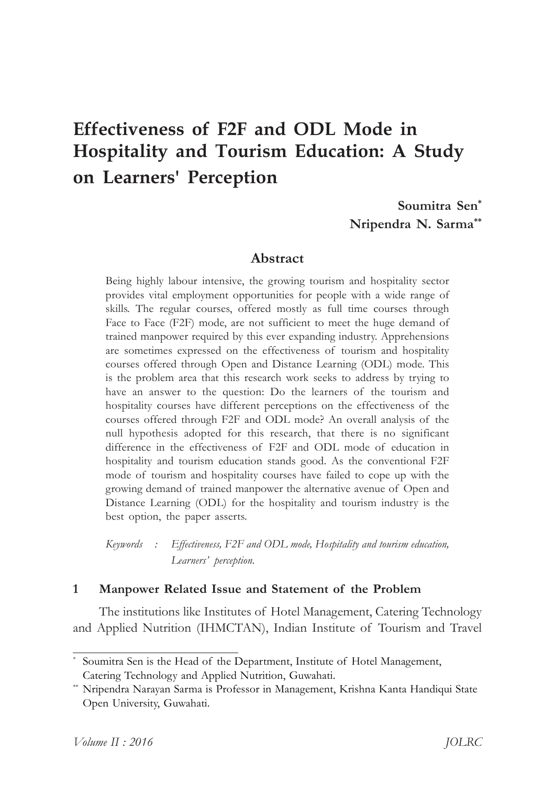# **Effectiveness of F2F and ODL Mode in Hospitality and Tourism Education: A Study on Learners' Perception**

**Soumitra† Sen\* Nripendra†N.† Sarma\*\***

#### **Abstract**

Being highly labour intensive, the growing tourism and hospitality sector provides vital employment opportunities for people with a wide range of skills. The regular courses, offered mostly as full time courses through Face to Face (F2F) mode, are not sufficient to meet the huge demand of trained manpower required by this ever expanding industry. Apprehensions are sometimes expressed on the effectiveness of tourism and hospitality courses offered through Open and Distance Learning (ODL) mode. This is the problem area that this research work seeks to address by trying to have an answer to the question: Do the learners of the tourism and hospitality courses have different perceptions on the effectiveness of the courses offered through F2F and ODL mode? An overall analysis of the null hypothesis adopted for this research, that there is no significant difference in the effectiveness of F2F and ODL mode of education in hospitality and tourism education stands good. As the conventional F2F mode of tourism and hospitality courses have failed to cope up with the growing demand of trained manpower the alternative avenue of Open and Distance Learning (ODL) for the hospitality and tourism industry is the best option, the paper asserts.

*Keywords : Effectiveness,†F2F†and†ODL†mode,†Hospitality†and†tourism†education,* Learners' perception.

#### 1 Manpower Related Issue and Statement of the Problem

The institutions like Institutes of Hotel Management, Catering Technology and Applied Nutrition (IHMCTAN), Indian Institute of Tourism and Travel

<sup>\*</sup> Soumitra Sen is the Head of the Department, Institute of Hotel Management, Catering Technology and Applied Nutrition, Guwahati.

Nripendra Narayan Sarma is Professor in Management, Krishna Kanta Handiqui State Open University, Guwahati.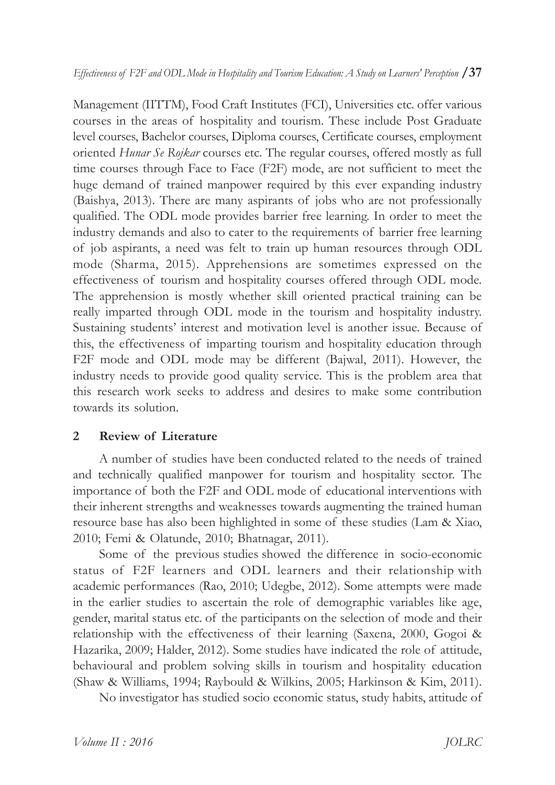Management (IITTM), Food Craft Institutes (FCI), Universities etc. offer various courses in the areas of hospitality and tourism. These include Post Graduate level courses, Bachelor courses, Diploma courses, Certificate courses, employment oriented *Hunar Se* Rojkar courses etc. The regular courses, offered mostly as full time courses through Face to Face  $(F2F)$  mode, are not sufficient to meet the huge demand of trained manpower required by this ever expanding industry (Baishya, 2013). There are many aspirants of jobs who are not professionally qualified. The ODL mode provides barrier free learning. In order to meet the industry demands and also to cater to the requirements of barrier free learning of job aspirants, a need was felt to train up human resources through ODL mode (Sharma, 2015). Apprehensions are sometimes expressed on the effectiveness of tourism and hospitality courses offered through ODL mode. The apprehension is mostly whether skill oriented practical training can be really imparted through ODL mode in the tourism and hospitality industry. Sustaining students' interest and motivation level is another issue. Because of this, the effectiveness of imparting tourism and hospitality education through F2F mode and ODL mode may be different (Bajwal, 2011). However, the industry needs to provide good quality service. This is the problem area that this research work seeks to address and desires to make some contribution towards its solution.

#### **2** Review of Literature

A number of studies have been conducted related to the needs of trained and technically qualified manpower for tourism and hospitality sector. The importance of both the F2F and ODL mode of educational interventions with their inherent strengths and weaknesses towards augmenting the trained human resource base has also been highlighted in some of these studies (Lam & Xiao, 2010; Femi & Olatunde, 2010; Bhatnagar, 2011).

Some of the previous studies showed the difference in socio-economic status of F2F learners and ODL learners and their relationship with academic performances (Rao, 2010; Udegbe, 2012). Some attempts were made in the earlier studies to ascertain the role of demographic variables like age, gender, marital status etc. of the participants on the selection of mode and their relationship with the effectiveness of their learning (Saxena, 2000, Gogoi  $\&$ Hazarika, 2009; Halder, 2012). Some studies have indicated the role of attitude, behavioural and problem solving skills in tourism and hospitality education (Shaw & Williams, 1994; Raybould & Wilkins, 2005; Harkinson & Kim, 2011).

No investigator has studied socio economic status, study habits, attitude of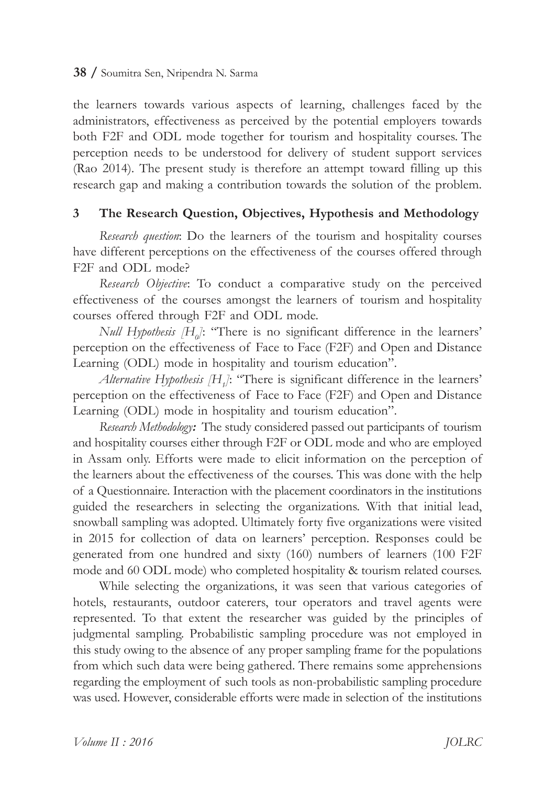the learners towards various aspects of learning, challenges faced by the administrators, effectiveness as perceived by the potential employers towards both F2F and ODL mode together for tourism and hospitality courses. The perception needs to be understood for delivery of student support services (Rao 2014). The present study is therefore an attempt toward filling up this research gap and making a contribution towards the solution of the problem.

#### **3** The Research Question, Objectives, Hypothesis and Methodology

*Research question*: Do the learners of the tourism and hospitality courses have different perceptions on the effectiveness of the courses offered through F<sub>2F</sub> and ODL mode?

*Research Objective*: To conduct a comparative study on the perceived effectiveness of the courses amongst the learners of tourism and hospitality courses offered through F2F and ODL mode.

*Null Hypothesis* [H<sub>0</sub>]: "There is no significant difference in the learners' perception on the effectiveness of Face to Face (F2F) and Open and Distance Learning (ODL) mode in hospitality and tourism education".

*Alternative Hypothesis* [H<sub>*1*</sub>]: "There is significant difference in the learners' perception on the effectiveness of Face to Face (F2F) and Open and Distance Learning (ODL) mode in hospitality and tourism education".

*Research Methodology*: The study considered passed out participants of tourism and hospitality courses either through F2F or ODL mode and who are employed in Assam only. Efforts were made to elicit information on the perception of the learners about the effectiveness of the courses. This was done with the help of a Questionnaire. Interaction with the placement coordinators in the institutions guided the researchers in selecting the organizations. With that initial lead, snowball sampling was adopted. Ultimately forty five organizations were visited in 2015 for collection of data on learners' perception. Responses could be generated from one hundred and sixty (160) numbers of learners (100 F2F mode and 60 ODL mode) who completed hospitality & tourism related courses.

While selecting the organizations, it was seen that various categories of hotels, restaurants, outdoor caterers, tour operators and travel agents were represented. To that extent the researcher was guided by the principles of judgmental sampling. Probabilistic sampling procedure was not employed in this study owing to the absence of any proper sampling frame for the populations from which such data were being gathered. There remains some apprehensions regarding the employment of such tools as non-probabilistic sampling procedure was used. However, considerable efforts were made in selection of the institutions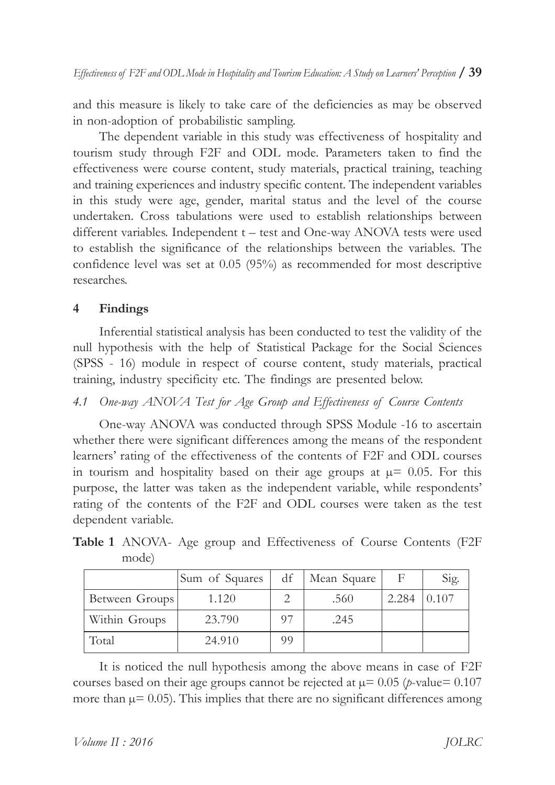and this measure is likely to take care of the deficiencies as may be observed in non-adoption of probabilistic sampling.

The dependent variable in this study was effectiveness of hospitality and tourism study through F2F and ODL mode. Parameters taken to find the effectiveness were course content, study materials, practical training, teaching and training experiences and industry specific content. The independent variables in this study were age, gender, marital status and the level of the course undertaken. Cross tabulations were used to establish relationships between different variables. Independent  $t$  – test and One-way ANOVA tests were used to establish the significance of the relationships between the variables. The confidence level was set at  $0.05$  (95%) as recommended for most descriptive researches.

# **4 Findings**

Inferential statistical analysis has been conducted to test the validity of the null hypothesis with the help of Statistical Package for the Social Sciences (SPSS - 16) module in respect of course content, study materials, practical training, industry specificity etc. The findings are presented below.

# *4.1 One-way†ANOVA†Test†for†Age†Group† and†Effectiveness† of †Course†Contents*

One-way ANOVA was conducted through SPSS Module -16 to ascertain whether there were significant differences among the means of the respondent learners' rating of the effectiveness of the contents of F2F and ODL courses in tourism and hospitality based on their age groups at  $\mu$ = 0.05. For this purpose, the latter was taken as the independent variable, while respondents' rating of the contents of the F2F and ODL courses were taken as the test dependent variable.

|                | Sum of Squares |    | df   Mean Square |       | Sig.  |
|----------------|----------------|----|------------------|-------|-------|
| Between Groups | 1.120          |    | .560             | 2.284 | 0.107 |
| Within Groups  | 23.790         | 97 | .245             |       |       |
| Total          | 24.910         | 99 |                  |       |       |

**Table 1** ANOVA- Age group and Effectiveness of Course Contents (F2F) mode)

It is noticed the null hypothesis among the above means in case of F2F courses based on their age groups cannot be rejected at  $\mu$ = 0.05 (*p*-value= 0.107 more than  $\mu$ = 0.05). This implies that there are no significant differences among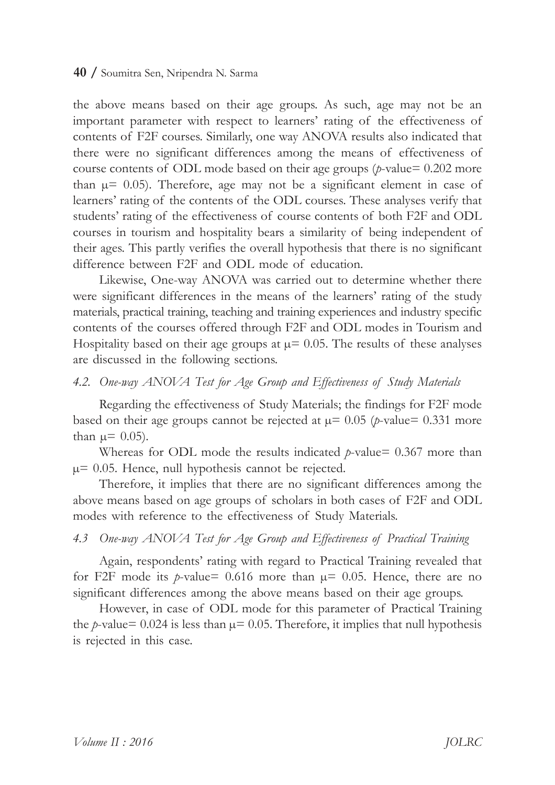the above means based on their age groups. As such, age may not be an important parameter with respect to learners' rating of the effectiveness of contents of F2F courses. Similarly, one way ANOVA results also indicated that there were no significant differences among the means of effectiveness of course contents of ODL mode based on their age groups ( $p$ -value= $0.202$  more than  $\mu$ = 0.05). Therefore, age may not be a significant element in case of learners' rating of the contents of the ODL courses. These analyses verify that students' rating of the effectiveness of course contents of both F2F and ODL courses in tourism and hospitality bears a similarity of being independent of their ages. This partly verifies the overall hypothesis that there is no significant difference between F2F and ODL mode of education.

Likewise, One-way ANOVA was carried out to determine whether there were significant differences in the means of the learners' rating of the study materials, practical training, teaching and training experiences and industry specific contents of the courses offered through F2F and ODL modes in Tourism and Hospitality based on their age groups at  $\mu$ = 0.05. The results of these analyses are discussed in the following sections.

#### *4.2. One-way†ANOVA†Test†for†Age†Group†and†Effectiveness† of †Study†Materials*

Regarding the effectiveness of Study Materials; the findings for F2F mode based on their age groups cannot be rejected at  $\mu$ = 0.05 (*p*-value= 0.331 more than  $\mu$  = 0.05).

Whereas for ODL mode the results indicated  $p$ -value= 0.367 more than  $\mu$ = 0.05. Hence, null hypothesis cannot be rejected.

Therefore, it implies that there are no significant differences among the above means based on age groups of scholars in both cases of F2F and ODL modes with reference to the effectiveness of Study Materials.

#### *4.3 One-way†ANOVA†Test†for†Age†Group†and†Effectiveness† of †Practical†Training*

Again, respondents' rating with regard to Practical Training revealed that for F2F mode its *p*-value= $0.616$  more than  $\mu$ = $0.05$ . Hence, there are no significant differences among the above means based on their age groups.

However, in case of ODL mode for this parameter of Practical Training the *p*-value= 0.024 is less than  $\mu$ = 0.05. Therefore, it implies that null hypothesis is rejected in this case.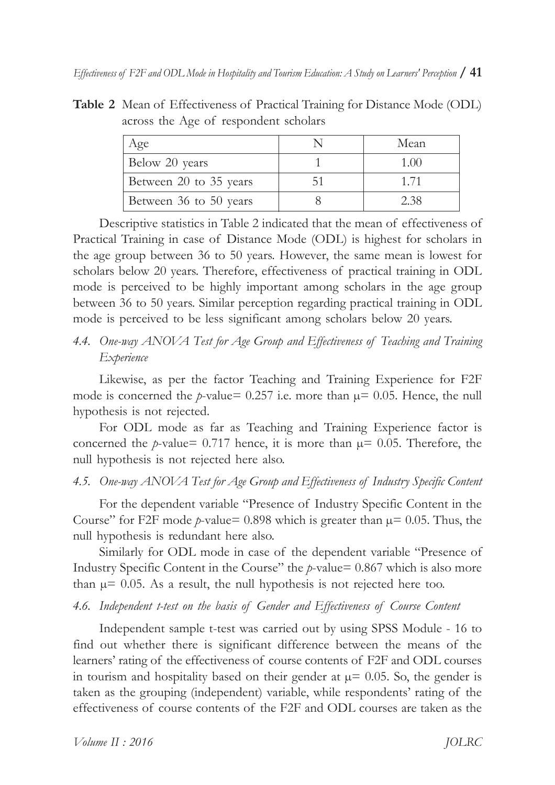**Table 2** Mean of Effectiveness of Practical Training for Distance Mode (ODL) across the Age of respondent scholars

| Age                    | Mean   |
|------------------------|--------|
| Below 20 years         | 1.(0() |
| Between 20 to 35 years | 1 71   |
| Between 36 to 50 years | 2.38   |

Descriptive statistics in Table 2 indicated that the mean of effectiveness of Practical Training in case of Distance Mode (ODL) is highest for scholars in the age group between 36 to 50 years. However, the same mean is lowest for scholars below 20 years. Therefore, effectiveness of practical training in ODL mode is perceived to be highly important among scholars in the age group between 36 to 50 years. Similar perception regarding practical training in ODL mode is perceived to be less significant among scholars below 20 years.

# 4.4. One-way *ANOVA* Test for Age Group and Effectiveness of Teaching and Training *Experience*

Likewise, as per the factor Teaching and Training Experience for F2F mode is concerned the *p*-value=  $0.257$  i.e. more than  $\mu$ = 0.05. Hence, the null hypothesis is not rejected.

For ODL mode as far as Teaching and Training Experience factor is concerned the *p*-value=  $0.717$  hence, it is more than  $\mu$ = 0.05. Therefore, the null hypothesis is not rejected here also.

# 4.5. One-way ANOVA<sup>†</sup> Test for Age Group and Effectiveness of Industry Specific Content

For the dependent variable "Presence of Industry Specific Content in the Course" for F2F mode  $p$ -value= 0.898 which is greater than  $\mu$ = 0.05. Thus, the null hypothesis is redundant here also.

Similarly for ODL mode in case of the dependent variable "Presence of Industry Specific Content in the Course<sup> $\cdot$ </sup> the  $p$ -value= 0.867 which is also more than  $\mu$ = 0.05. As a result, the null hypothesis is not rejected here too.

# 4.6. Independent t-test on the basis of Gender and *Effectiveness* of *Course Content*

Independent sample t-test was carried out by using SPSS Module - 16 to find out whether there is significant difference between the means of the learners' rating of the effectiveness of course contents of F2F and ODL courses in tourism and hospitality based on their gender at  $\mu$ = 0.05. So, the gender is taken as the grouping (independent) variable, while respondents' rating of the effectiveness of course contents of the F2F and ODL courses are taken as the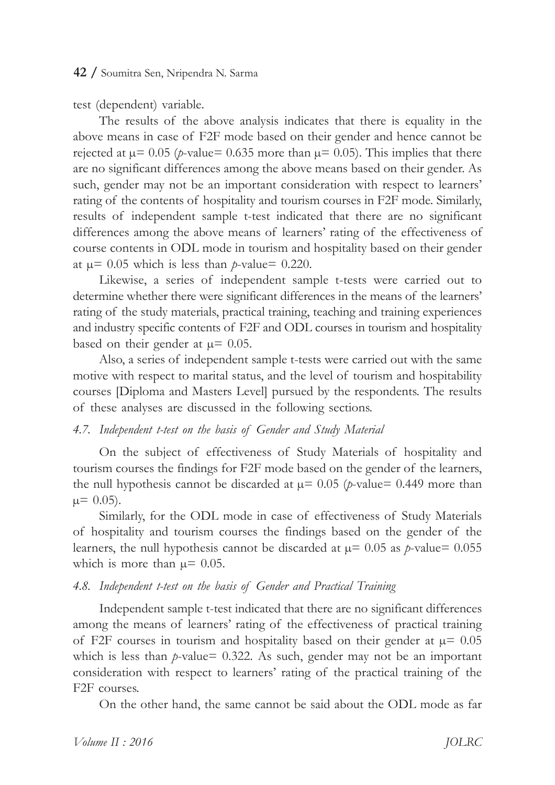test (dependent) variable.

The results of the above analysis indicates that there is equality in the above means in case of F2F mode based on their gender and hence cannot be rejected at  $\mu$ = 0.05 (*p*-value= 0.635 more than  $\mu$ = 0.05). This implies that there are no significant differences among the above means based on their gender. As such, gender may not be an important consideration with respect to learners' rating of the contents of hospitality and tourism courses in F2F mode. Similarly, results of independent sample t-test indicated that there are no significant differences among the above means of learners' rating of the effectiveness of course contents in ODL mode in tourism and hospitality based on their gender at  $\mu$ = 0.05 which is less than *p*-value= 0.220.

Likewise, a series of independent sample t-tests were carried out to determine whether there were significant differences in the means of the learners' rating of the study materials, practical training, teaching and training experiences and industry specific contents of F2F and ODL courses in tourism and hospitality based on their gender at  $\mu$ = 0.05.

Also, a series of independent sample t-tests were carried out with the same motive with respect to marital status, and the level of tourism and hospitability courses Diploma and Masters Levell pursued by the respondents. The results of these analyses are discussed in the following sections.

#### 4.7. Independent t-test on the basis of Gender and Study Material

On the subject of effectiveness of Study Materials of hospitality and tourism courses the findings for F2F mode based on the gender of the learners, the null hypothesis cannot be discarded at  $\mu$ = 0.05 (*p*-value= 0.449 more than  $\mu$ = 0.05).

Similarly, for the ODL mode in case of effectiveness of Study Materials of hospitality and tourism courses the findings based on the gender of the learners, the null hypothesis cannot be discarded at  $\mu$ = 0.05 as *p*-value= 0.055 which is more than  $\mu$  = 0.05.

#### 4.8. Independent *t-test on the basis of Gender and Practical Training*

Independent sample t-test indicated that there are no significant differences among the means of learners' rating of the effectiveness of practical training of F2F courses in tourism and hospitality based on their gender at  $\mu$  = 0.05 which is less than *p*-value= 0.322. As such, gender may not be an important consideration with respect to learners' rating of the practical training of the F<sub>2F</sub> courses.

On the other hand, the same cannot be said about the ODL mode as far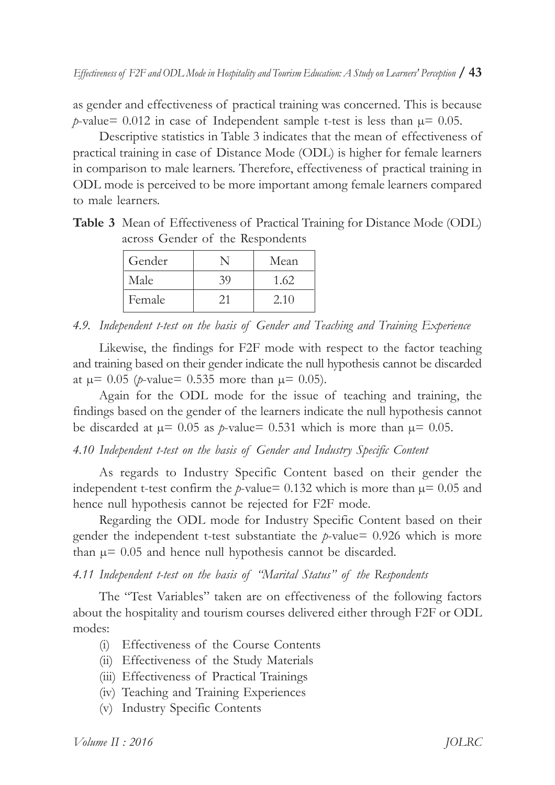as gender and effectiveness of practical training was concerned. This is because *p*-value= 0.012 in case of Independent sample t-test is less than  $\mu$  = 0.05.

Descriptive statistics in Table 3 indicates that the mean of effectiveness of practical training in case of Distance Mode (ODL) is higher for female learners in comparison to male learners. Therefore, effectiveness of practical training in ODL mode is perceived to be more important among female learners compared to male learners.

**Table 3** Mean of Effectiveness of Practical Training for Distance Mode (ODL) across Gender of the Respondents

| Gender |    | Mean |
|--------|----|------|
| Male   | 39 | 1.62 |
| Female | ŽΤ | 2.10 |

4.9. Independent t-test on the basis of Gender and Teaching and Training Experience

Likewise, the findings for F2F mode with respect to the factor teaching and training based on their gender indicate the null hypothesis cannot be discarded at  $\mu$  = 0.05 (*p*-value= 0.535 more than  $\mu$  = 0.05).

Again for the ODL mode for the issue of teaching and training, the findings based on the gender of the learners indicate the null hypothesis cannot be discarded at  $\mu$ = 0.05 as *p*-value= 0.531 which is more than  $\mu$ = 0.05.

4.10 Independent t-test on the basis of Gender and Industry Specific Content

As regards to Industry Specific Content based on their gender the independent t-test confirm the *p*-value= 0.132 which is more than  $\mu$ = 0.05 and hence null hypothesis cannot be rejected for F2F mode.

Regarding the ODL mode for Industry Specific Content based on their gender the independent t-test substantiate the *p*-value= $0.926$  which is more than  $\mu$ = 0.05 and hence null hypothesis cannot be discarded.

4.11 Independent *t-test* on the basis of "Marital Status" of the Respondents

The "Test Variables" taken are on effectiveness of the following factors about the hospitality and tourism courses delivered either through F2F or ODL modes:

- (i) Effectiveness of the Course Contents
- (ii) Effectiveness of the Study Materials
- (iii) Effectiveness of Practical Trainings
- (iv) Teaching†and†Training†Experiences
- (v) Industry†Specific†Contents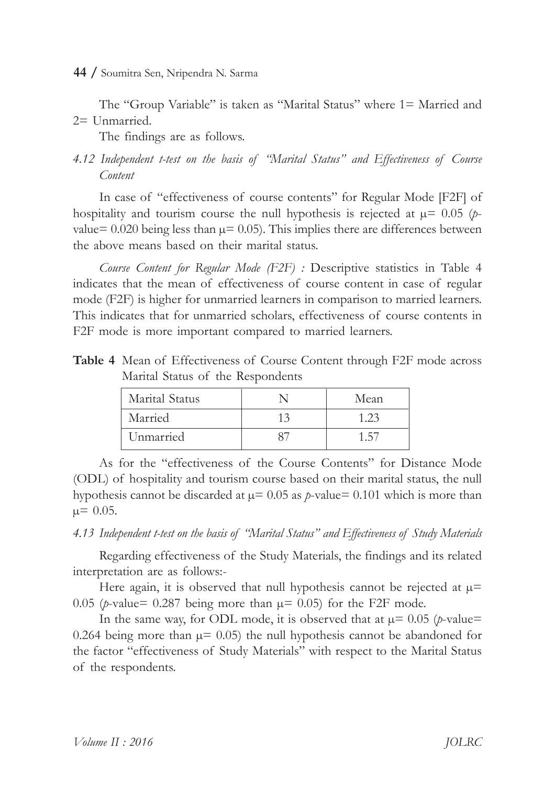The "Group Variable" is taken as "Marital Status" where 1= Married and  $2=$  Unmarried.

The findings are as follows.

# *4.12† Independent† t-test† on† the† basis† of † ìMarital† Statusî† and† Effectiveness† of † Course Content*

In case of "effectiveness of course contents" for Regular Mode [F2F] of hospitality and tourism course the null hypothesis is rejected at  $\mu$ = 0.05 (*p*value= $0.020$  being less than  $\mu$ = $0.05$ ). This implies there are differences between the above means based on their marital status.

*Course* Content for Regular Mode (F2F) : Descriptive statistics in Table 4 indicates that the mean of effectiveness of course content in case of regular mode (F2F) is higher for unmarried learners in comparison to married learners. This indicates that for unmarried scholars, effectiveness of course contents in F2F mode is more important compared to married learners.

**Table 4** Mean of Effectiveness of Course Content through F2F mode across Marital Status of the Respondents

| Marital Status |    | Mean            |
|----------------|----|-----------------|
| Married        | 13 | 1.23            |
| Unmarried      |    | . $\mathcal{L}$ |

As for the "effectiveness of the Course Contents" for Distance Mode (ODL) of hospitality and tourism course based on their marital status, the null hypothesis cannot be discarded at  $\mu$ = 0.05 as *p*-value= 0.101 which is more than  $\mu$ = 0.05.

4.13 Independent t-test on the basis of "Marital Status" and *Effectiveness of Study Materials* 

Regarding effectiveness of the Study Materials, the findings and its related interpretation are as follows:-

Here again, it is observed that null hypothesis cannot be rejected at  $\mu$ = 0.05 (*p*-value= 0.287 being more than  $\mu$  = 0.05) for the F2F mode.

In the same way, for ODL mode, it is observed that at  $\mu$ = 0.05 (*p*-value= 0.264 being more than  $\mu$ = 0.05) the null hypothesis cannot be abandoned for the factor "effectiveness of Study Materials" with respect to the Marital Status of the respondents.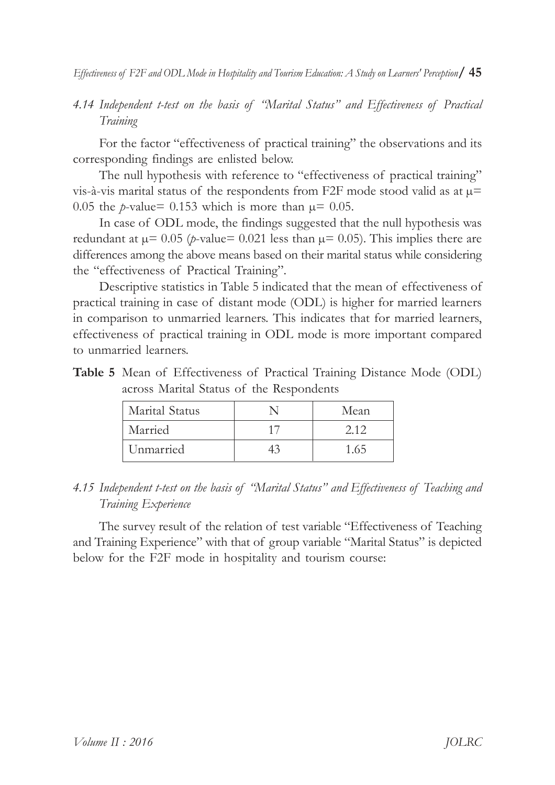*4.14 Independent† t-test† on† the† basis† of † ìMarital† Statusî† and† Effectiveness† of † Practical Training*

For the factor "effectiveness of practical training" the observations and its corresponding findings are enlisted below.

The null hypothesis with reference to "effectiveness of practical training" vis-à-vis marital status of the respondents from F2F mode stood valid as at  $\mu$ = 0.05 the *p*-value= 0.153 which is more than  $\mu$ = 0.05.

In case of ODL mode, the findings suggested that the null hypothesis was redundant at  $\mu$ = 0.05 (*p*-value= 0.021 less than  $\mu$ = 0.05). This implies there are differences among the above means based on their marital status while considering the "effectiveness of Practical Training".

Descriptive statistics in Table 5 indicated that the mean of effectiveness of practical training in case of distant mode (ODL) is higher for married learners in comparison to unmarried learners. This indicates that for married learners, effectiveness of practical training in ODL mode is more important compared to unmarried learners.

| Table 5 Mean of Effectiveness of Practical Training Distance Mode (ODL) |
|-------------------------------------------------------------------------|
| across Marital Status of the Respondents                                |

| Marital Status | Mean |
|----------------|------|
| Married        | 212  |
| Unmarried      | 1.65 |

#### 4.15 Independent t-test on the basis of *''Marital Status*" and *Effectiveness of Teaching and Training†Experience*

The survey result of the relation of test variable "Effectiveness of Teaching and Training Experience" with that of group variable "Marital Status" is depicted below for the F2F mode in hospitality and tourism course: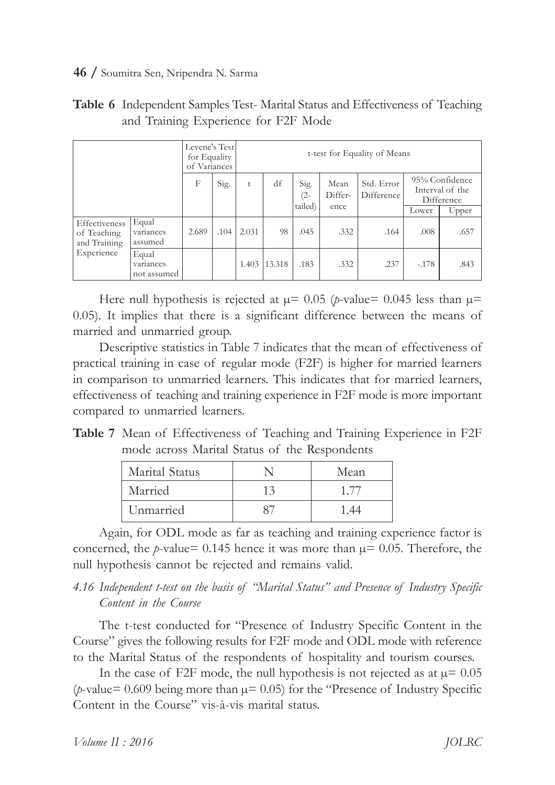|                                                            |                                   | Levene's Test<br>for Equality<br>of Variances |      |       |        |             |                 | t-test for Equality of Means                                                |         |       |
|------------------------------------------------------------|-----------------------------------|-----------------------------------------------|------|-------|--------|-------------|-----------------|-----------------------------------------------------------------------------|---------|-------|
|                                                            |                                   | F                                             | Sig. | t     | df     | Sig.<br>(2- | Mean<br>Differ- | 95% Confidence<br>Std. Error<br>Interval of the<br>Difference<br>Difference |         |       |
|                                                            |                                   |                                               |      |       |        | tailed)     | ence            |                                                                             | Lower   | Upper |
| Effectiveness<br>of Teaching<br>and Training<br>Experience | Equal<br>variances<br>assumed     | 2.689                                         | .104 | 2.031 | 98     | .045        | .332            | .164                                                                        | .008    | .657  |
|                                                            | Equal<br>variances<br>not assumed |                                               |      | 1.403 | 13.318 | .183        | .332            | .237                                                                        | $-.178$ | .843  |

| <b>Table 6</b> Independent Samples Test-Marital Status and Effectiveness of Teaching |
|--------------------------------------------------------------------------------------|
| and Training Experience for F2F Mode                                                 |

Here null hypothesis is rejected at  $\mu$  = 0.05 (*p*-value= 0.045 less than  $\mu$ = 0.05). It implies that there is a significant difference between the means of married and unmarried group.

Descriptive statistics in Table 7 indicates that the mean of effectiveness of practical training in case of regular mode (F2F) is higher for married learners in comparison to unmarried learners. This indicates that for married learners, effectiveness of teaching and training experience in F2F mode is more important compared to unmarried learners.

**Table 7** Mean of Effectiveness of Teaching and Training Experience in F2F mode across Marital Status of the Respondents

| Marital Status |    | Mean |
|----------------|----|------|
| Married        | 13 | 1/T  |
| Unmarried      |    |      |

Again, for ODL mode as far as teaching and training experience factor is concerned, the *p*-value= 0.145 hence it was more than  $\mu$ = 0.05. Therefore, the null hypothesis cannot be rejected and remains valid.

# 4.16 Independent *t-test* on the basis of "Marital Status" and Presence of Industry Specific *Content in the Course*

The t-test conducted for "Presence of Industry Specific Content in the Course" gives the following results for F2F mode and ODL mode with reference to the Marital Status of the respondents of hospitality and tourism courses.

In the case of F2F mode, the null hypothesis is not rejected as at  $\mu$ = 0.05 (*p*-value= 0.609 being more than  $\mu$ = 0.05) for the "Presence of Industry Specific Content in the Course" vis-à-vis marital status.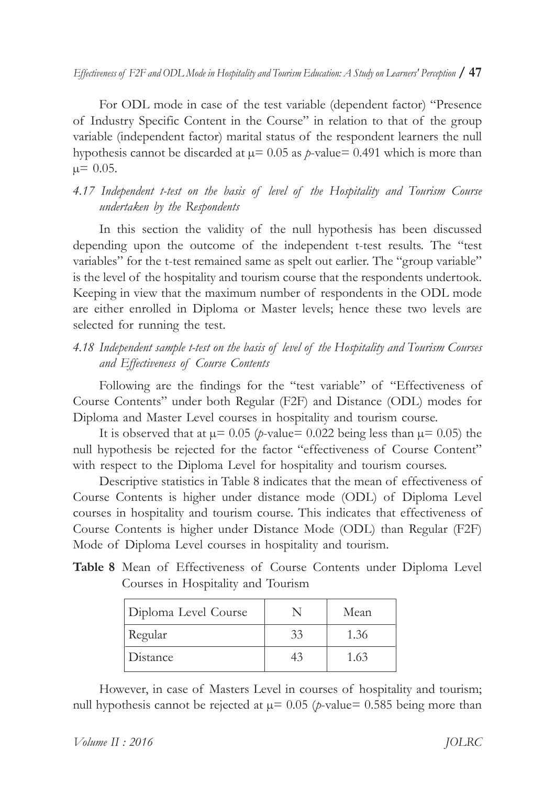*Effectiveness†of †F2F†and†ODL†Mode†in†Hospitality†and†Tourism†Education:†A†Study†on†Learners'†Perception* **/†47**

For ODL mode in case of the test variable (dependent factor) "Presence of Industry Specific Content in the Course" in relation to that of the group variable (independent factor) marital status of the respondent learners the null hypothesis cannot be discarded at  $\mu$ = 0.05 as *p*-value= 0.491 which is more than  $\mu$ = 0.05.

# *4.17† Independent† t-test† on† the† basis† of † level† of † the† Hospitality† and† Tourism† Course undertaken† by†the†Respondents*

In this section the validity of the null hypothesis has been discussed depending upon the outcome of the independent t-test results. The "test variables" for the t-test remained same as spelt out earlier. The "group variable" is the level of the hospitality and tourism course that the respondents undertook. Keeping in view that the maximum number of respondents in the ODL mode are either enrolled in Diploma or Master levels; hence these two levels are selected for running the test.

# 4.18 Independent sample t-test on the basis of level of the Hospitality and Tourism Courses *and†Effectiveness† of †Course†Contents*

Following are the findings for the "test variable" of "Effectiveness of Course Contents" under both Regular (F2F) and Distance (ODL) modes for Diploma and Master Level courses in hospitality and tourism course.

It is observed that at  $\mu$ = 0.05 (*p*-value= 0.022 being less than  $\mu$ = 0.05) the null hypothesis be rejected for the factor "effectiveness of Course Content" with respect to the Diploma Level for hospitality and tourism courses.

Descriptive statistics in Table 8 indicates that the mean of effectiveness of Course Contents is higher under distance mode (ODL) of Diploma Level courses in hospitality and tourism course. This indicates that effectiveness of Course Contents is higher under Distance Mode (ODL) than Regular (F2F) Mode of Diploma Level courses in hospitality and tourism.

|  | Table 8 Mean of Effectiveness of Course Contents under Diploma Level |  |  |  |
|--|----------------------------------------------------------------------|--|--|--|
|  | Courses in Hospitality and Tourism                                   |  |  |  |

| Diploma Level Course |    | Mean |
|----------------------|----|------|
| Regular              | 33 | 1.36 |
| Distance             | 43 | 1.63 |

However, in case of Masters Level in courses of hospitality and tourism; null hypothesis cannot be rejected at  $\mu$ = 0.05 (*p*-value= 0.585 being more than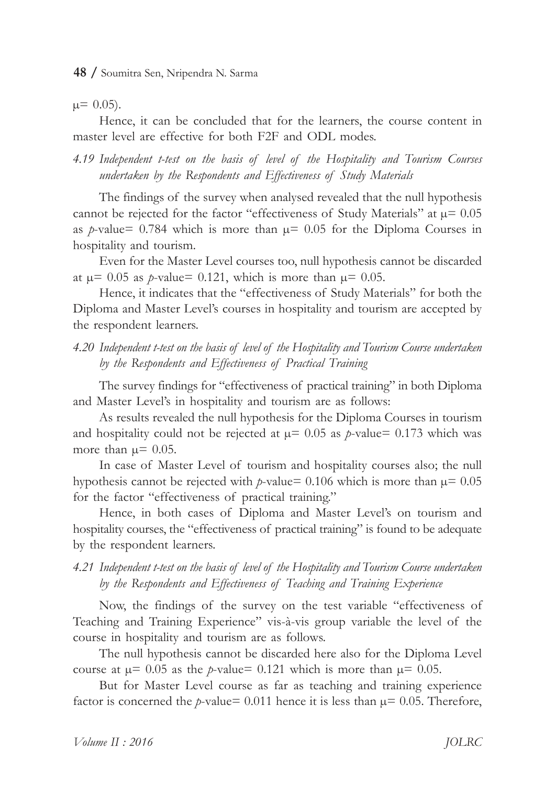$\mu$ = 0.05).

Hence, it can be concluded that for the learners, the course content in master level are effective for both F2F and ODL modes.

4.19 Independent *t-test* on the basis of level of the Hospitality and Tourism Courses *undertaken†by†the†Respondents†and†Effectiveness† of †Study†Materials*

The findings of the survey when analysed revealed that the null hypothesis cannot be rejected for the factor "effectiveness of Study Materials" at  $\mu$ = 0.05 as *p*-value= 0.784 which is more than  $\mu$ = 0.05 for the Diploma Courses in hospitality and tourism.

Even for the Master Level courses too, null hypothesis cannot be discarded at  $\mu$ = 0.05 as *p*-value= 0.121, which is more than  $\mu$ = 0.05.

Hence, it indicates that the "effectiveness of Study Materials" for both the Diploma and Master Level's courses in hospitality and tourism are accepted by the respondent learners.

*4.20 Independent†t-test†on†the†basis†of †level†of †the†Hospitality†and†Tourism†Course†undertaken by†the†Respondents†and†Effectiveness† of †Practical†Training*

The survey findings for "effectiveness of practical training" in both Diploma and Master Level's in hospitality and tourism are as follows:

As results revealed the null hypothesis for the Diploma Courses in tourism and hospitality could not be rejected at  $\mu$ = 0.05 as *p*-value= 0.173 which was more than  $\mu$  = 0.05.

In case of Master Level of tourism and hospitality courses also; the null hypothesis cannot be rejected with  $p$ -value= 0.106 which is more than  $\mu$ = 0.05 for the factor "effectiveness of practical training."

Hence, in both cases of Diploma and Master Level's on tourism and hospitality courses, the "effectiveness of practical training" is found to be adequate by the respondent learners.

### *4.21 Independent†t-test†on†the†basis†of †level†of †the†Hospitality†and†Tourism†Course†undertaken* by the Respondents and *Effectiveness* of Teaching and Training Experience

Now, the findings of the survey on the test variable "effectiveness of Teaching and Training Experience" vis-à-vis group variable the level of the course in hospitality and tourism are as follows.

The null hypothesis cannot be discarded here also for the Diploma Level course at  $\mu$ = 0.05 as the *p*-value= 0.121 which is more than  $\mu$ = 0.05.

But for Master Level course as far as teaching and training experience factor is concerned the *p*-value= 0.011 hence it is less than  $\mu$ = 0.05. Therefore,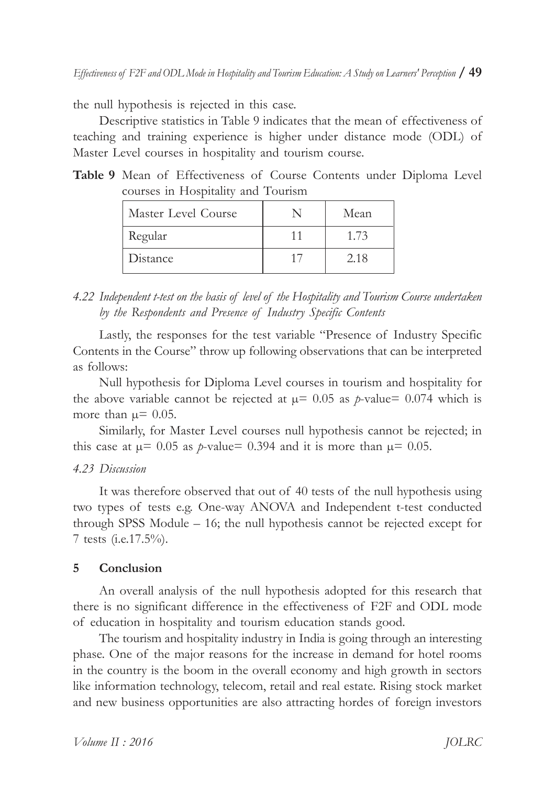the null hypothesis is rejected in this case.

Descriptive statistics in Table 9 indicates that the mean of effectiveness of teaching and training experience is higher under distance mode (ODL) of Master Level courses in hospitality and tourism course.

|  | Table 9 Mean of Effectiveness of Course Contents under Diploma Level |  |  |  |
|--|----------------------------------------------------------------------|--|--|--|
|  | courses in Hospitality and Tourism                                   |  |  |  |

| Master Level Course | Mean |
|---------------------|------|
| Regular             | 1.73 |
| Distance            | 2.18 |

# *4.22 Independent†t-test†on†the†basis†of †level†of †the†Hospitality†and†Tourism†Course†undertaken by†the†Respondents† and† Presence† of † Industry† Specific†Contents*

Lastly, the responses for the test variable "Presence of Industry Specific Contents in the Course" throw up following observations that can be interpreted as†follows:

Null hypothesis for Diploma Level courses in tourism and hospitality for the above variable cannot be rejected at  $\mu$ = 0.05 as *p*-value= 0.074 which is more than  $\mu$  = 0.05.

Similarly, for Master Level courses null hypothesis cannot be rejected; in this case at  $\mu$ = 0.05 as *p*-value= 0.394 and it is more than  $\mu$ = 0.05.

#### *4.23 Discussion*

It was therefore observed that out of 40 tests of the null hypothesis using two types of tests e.g. One-way ANOVA and Independent t-test conducted through SPSS Module  $-16$ ; the null hypothesis cannot be rejected except for 7 tests (i.e.17.5%).

#### **5 Conclusion**

An overall analysis of the null hypothesis adopted for this research that there is no significant difference in the effectiveness of F2F and ODL mode of education in hospitality and tourism education stands good.

The tourism and hospitality industry in India is going through an interesting phase. One of the major reasons for the increase in demand for hotel rooms in the country is the boom in the overall economy and high growth in sectors like information technology, telecom, retail and real estate. Rising stock market and new business opportunities are also attracting hordes of foreign investors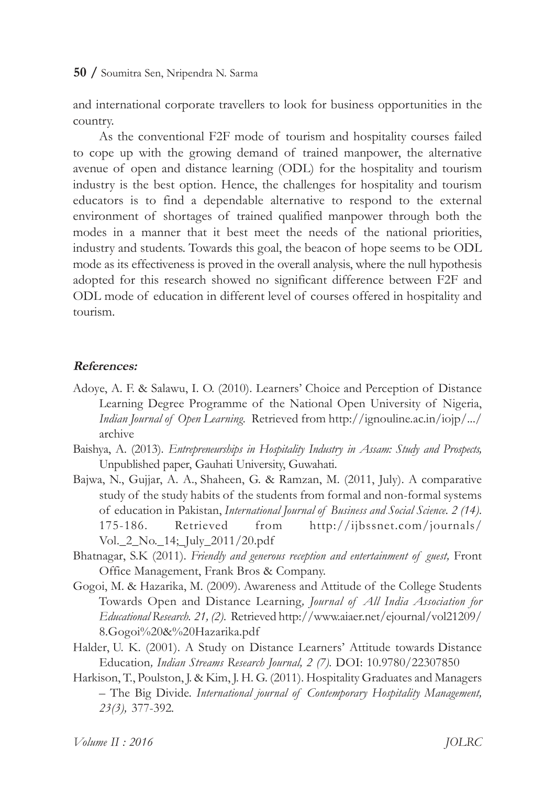and international corporate travellers to look for business opportunities in the country.

As the conventional F2F mode of tourism and hospitality courses failed to cope up with the growing demand of trained manpower, the alternative avenue of open and distance learning (ODL) for the hospitality and tourism industry is the best option. Hence, the challenges for hospitality and tourism educators is to find a dependable alternative to respond to the external environment of shortages of trained qualified manpower through both the modes in a manner that it best meet the needs of the national priorities, industry and students. Towards this goal, the beacon of hope seems to be ODL mode as its effectiveness is proved in the overall analysis, where the null hypothesis adopted for this research showed no significant difference between F2F and ODL mode of education in different level of courses offered in hospitality and tourism.

#### **References:**

- Adoye, A. F. & Salawu, I. O. (2010). Learners' Choice and Perception of Distance Learning Degree Programme of the National Open University of Nigeria, *Indian Journal of Open Learning.* Retrieved from http://ignouline.ac.in/iojp/.../ archive
- Baishya, A. (2013). *Entrepreneurships in Hospitality Industry in Assam: Study and Prospects,* Unpublished†paper,†Gauhati†University,†Guwahati.
- Bajwa, N., Gujjar, A. A., Shaheen, G. & Ramzan, M. (2011, July). A comparative study of the study habits of the students from formal and non-formal systems of †education†in†Pakistan,†*International†Journal†of †Business†and†Social†Science.†2†(14)*. 175-186.† Retrieved† from† http://ijbssnet.com/journals/ Vol.\_2\_No.\_14;\_July\_2011/20.pdf
- Bhatnagar, S.K<sup>(2011).</sup> Friendly and generous reception and entertainment of guest, Front Office Management, Frank Bros & Company.
- Gogoi, M. & Hazarika, M. (2009). Awareness and Attitude of the College Students Towards† Open† and† Distance† Learning*, Journal† of † All† India† Association† for Educational†Research.†21,†(2)*.††Retrieved†http://www.aiaer.net/ejournal/vol21209/ 8.Gogoi%20&%20Hazarika.pdf
- Halder, U.<sub>K.</sub><sup>(2001).</sup> A Study on Distance Learners' Attitude towards Distance Education*, Indian†Streams†Research†Journal,†2†(7).†*DOI:†10.9780/22307850
- Harkison, T., Poulston, J. & Kim, J. H. G. (2011). Hospitality Graduates and Managers  $-$  The Big Divide. *International journal of Contemporary Hospitality Management, 23(3),†*377-392*.*

*Volume* II: 2016 *JOLRC*